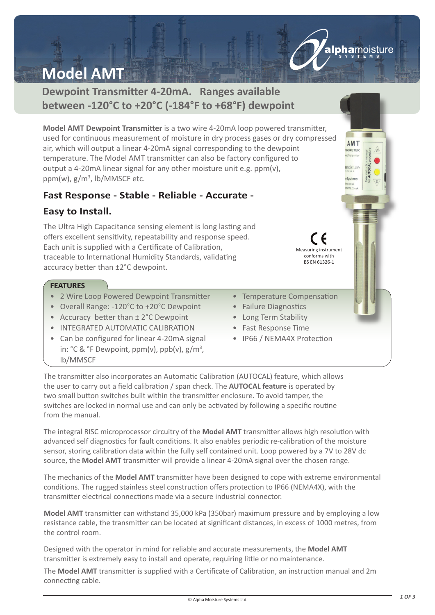# **Model AMT**

# **Dewpoint Transmitter 4-20mA. Ranges available between -120°C to +20°C (-184°F to +68°F) dewpoint**

**Model AMT Dewpoint Transmitter** is a two wire 4-20mA loop powered transmitter, used for continuous measurement of moisture in dry process gases or dry compressed air, which will output a linear 4-20mA signal corresponding to the dewpoint temperature. The Model AMT transmitter can also be factory configured to output a 4-20mA linear signal for any other moisture unit e.g. ppm(v), ppm(w), g/m<sup>3</sup>, lb/MMSCF etc.

# **Fast Response - Stable - Reliable - Accurate -**

### **Easy to Install.**

The Ultra High Capacitance sensing element is long lasting and offers excellent sensitivity, repeatability and response speed. Each unit is supplied with a Certificate of Calibration, traceable to International Humidity Standards, validating accuracy better than ±2°C dewpoint.

### **FEATURES**

- 2 Wire Loop Powered Dewpoint Transmitter
- Overall Range: -120°C to +20°C Dewpoint
- Accuracy better than ± 2°C Dewpoint
- INTEGRATED AUTOMATIC CALIBRATION
- Can be configured for linear 4-20mA signal in: °C & °F Dewpoint, ppm(v), ppb(v), g/m<sup>3</sup>, lb/MMSCF
- Temperature Compensation

Measuring instrument conforms with BS EN 61326-1

alphamoisture

AMT GROMETER

**amoisture** 

- Failure Diagnostics
- Long Term Stability
- Fast Response Time
- IP66 / NEMA4X Protection

The transmitter also incorporates an Automatic Calibration (AUTOCAL) feature, which allows the user to carry out a field calibration / span check. The **AUTOCAL feature** is operated by two small button switches built within the transmitter enclosure. To avoid tamper, the switches are locked in normal use and can only be activated by following a specific routine from the manual.

The integral RISC microprocessor circuitry of the **Model AMT** transmitter allows high resolution with advanced self diagnostics for fault conditions. It also enables periodic re-calibration of the moisture sensor, storing calibration data within the fully self contained unit. Loop powered by a 7V to 28V dc source, the **Model AMT** transmitter will provide a linear 4-20mA signal over the chosen range.

The mechanics of the **Model AMT** transmitter have been designed to cope with extreme environmental conditions. The rugged stainless steel construction offers protection to IP66 (NEMA4X), with the transmitter electrical connections made via a secure industrial connector.

**Model AMT** transmitter can withstand 35,000 kPa (350bar) maximum pressure and by employing a low resistance cable, the transmitter can be located at significant distances, in excess of 1000 metres, from the control room.

Designed with the operator in mind for reliable and accurate measurements, the **Model AMT** transmitter is extremely easy to install and operate, requiring little or no maintenance.

The **Model AMT** transmitter is supplied with a Certificate of Calibration, an instruction manual and 2m connecting cable.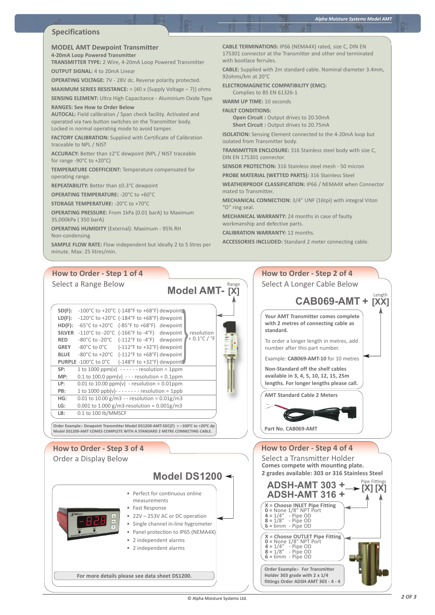#### **Specifications**

#### **MODEL AMT Dewpoint Transmitter**

**4-20mA Loop Powered Transmitter TRANSMITTER TYPE:** 2 Wire, 4-20mA Loop Powered Transmitter

**OUTPUT SIGNAL:** 4 to 20mA Linear **OPERATING VOLTAGE:** 7V - 28V dc. Reverse polarity protected.

**MAXIMUM SERIES RESISTANCE:** = {40 x (Supply Voltage – 7)} ohms

**SENSING ELEMENT:** Ultra High Capacitance - Aluminium Oxide Type **RANGES: See How to Order Below**

**AUTOCAL:** Field calibration / Span check facility. Activated and operated via two button switches on the Transmitter body. Locked in normal operating mode to avoid tamper.

**FACTORY CALIBRATION:** Supplied with Certificate of Calibration traceable to NPL / NIST

**ACCURACY:** Better than ±2°C dewpoint (NPL / NIST traceable for range -90°C to +20°C)

**TEMPERATURE COEFFICIENT:** Temperature compensated for operating range.

**REPEATABILITY:** Better than ±0.3°C dewpoint

**OPERATING TEMPERATURE:** -20°C to +60°C

**STORAGE TEMPERATURE:** -20°C to +70°C

**OPERATING PRESSURE:** From 1kPa (0.01 barA) to Maximum 35,000kPa ( 350 barA)

**OPERATING HUMIDITY** (External): Maximum - 95% RH Non-condensing

**SAMPLE FLOW RATE:** Flow independent but ideally 2 to 5 litres per minute. Max: 25 litres/min.

**CABLE TERMINATIONS:** IP66 (NEMA4X) rated, size C, DIN EN 175301 connector at the Transmitter and other end terminated with bootlace ferrules

**CABLE:** Supplied with 2m standard cable. Nominal diameter 3.4mm, 92ohms/km at 20°C

**ELECTROMAGNETIC COMPATIBILITY (EMC):** Complies to BS EN 61326-1

**WARM UP TIME:** 10 seconds

**FAULT CONDITIONS:**

**Open Circuit :** Output drives to 20.50mA **Short Circuit :** Output drives to 20.75mA

**ISOLATION:** Sensing Element connected to the 4-20mA loop but isolated from Transmitter body.

**TRANSMITTER ENCLOSURE:** 316 Stainless steel body with size C, DIN EN 175301 connector.

**SENSOR PROTECTION:** 316 Stainless steel mesh - 50 micron

**PROBE MATERIAL (WETTED PARTS):** 316 Stainless Steel

**WEATHERPROOF CLASSIFICATION:** IP66 / NEMA4X when Connector mated to Transmitter.

**MECHANICAL CONNECTION:** 3/4" UNF (16tpi) with integral Viton "O" ring seal.

**MECHANICAL WARRANTY:** 24 months in case of faulty workmanship and defective parts.

**CALIBRATION WARRANTY:** 12 months.

**ACCESSORIES INCLUDED:** Standard 2 meter connecting cable.

**How to Order - Step 2 of 4** Select A Longer Cable Below

### **How to Order - Step 1 of 4**

Select a Range Below

| $SD(F)$ :     | $-100^{\circ}$ C to $+20^{\circ}$ C ( $-148^{\circ}$ F to $+68^{\circ}$ F) dewpoint                                  |
|---------------|----------------------------------------------------------------------------------------------------------------------|
| $LD(F)$ :     | -120°C to +20°C (-184°F to +68°F) dewpoint                                                                           |
| HD(F):        | $-65^{\circ}$ C to $+20^{\circ}$ C $(-85^{\circ}$ F to $+68^{\circ}$ F) dewpoint                                     |
| <b>SILVER</b> | $-110^{\circ}$ C to $-20^{\circ}$ C ( $-166^{\circ}$ F to $-4^{\circ}$ F) dewpoint<br>resolution                     |
| <b>RED</b>    | $= 0.1^{\circ}$ C / $^{\circ}$ F<br>$-80^{\circ}$ C to $-20^{\circ}$ C $(-112^{\circ}$ F to $-4^{\circ}$ F) dewpoint |
| GREY          | $-80^{\circ}$ C to $0^{\circ}$ C $( -112^{\circ}$ F to $+32^{\circ}$ F) dewpoint                                     |
| <b>BLUE</b>   | $-80^{\circ}$ C to $+20^{\circ}$ C $(-112^{\circ}$ F to $+68^{\circ}$ F) dewpoint                                    |
|               | <b>PURPLE</b> -100°C to 0°C (-148°F to +32°F) dewpoint                                                               |
| SP:           | 1 to 1000 ppm(v) $---$ resolution = 1ppm                                                                             |
| MP:           | 0.1 to 100.0 ppm(v) - - - resolution = 0.1ppm                                                                        |
| LP:           | $0.01$ to 10.00 ppm(v) - resolution = 0.01ppm                                                                        |
| PB:           | 1 to 1000 ppb(v) - - - - - - - - resolution = 1ppb                                                                   |
| HG:           | 0.01 to 10.00 g/m3 - - resolution = $0.01$ g/m3                                                                      |
| LG:           | 0.001 to 1.000 g/m3-resolution = $0.001$ g/m3                                                                        |
| LB:           | 0.1 to 100 lb/MMSCF                                                                                                  |
|               |                                                                                                                      |

Order Example:- Dewpoint Transmitter Model DS1200-AMT-SDC(F) = –100°C to +20°C dp<br>Model DS1200-AMT COMES COMPLETE WITH A STANDARD 2 METRE CONNECTING CABLE.

### **How to Order - Step 3 of 4** Order a Display Below

# **Model DS1200**

**Model AMT- [X]**

Range

- Perfect for continuous online measurements
- Fast Response
- 22V 253V AC or DC operation
- Single channel in-line hygrometer
- Panel protection to IP65 (NEMA4X)
- 2 independent alarms
- 2 independent alarms

**For more details please see data sheet DS1200.**

## **CAB069-AMT + [XX]** Length **Your AMT Transmitter comes complete with 2 metres of connecting cable as standard.** To order a longer length in metres, add number after this part number. Example: **CAB069-AMT-10** for 10 metres **Non-Standard off the shelf cables available in 3, 4, 5, 10, 12, 15, 25m lengths. For longer lengths please call. AMT Standard Cable 2 Meters Part No. CAB069-AMT**

### **How to Order - Step 4 of 4** Select a Transmitter Holder **ADSH-AMT 303 + ADSH-AMT <sup>316</sup> <sup>+</sup> [X] [X] X = Choose INLET Pipe Fitting 0 =** None 1/8" NPT Port **4 =** 1/4" - Pipe OD **8 =** 1/8" - Pipe OD **6 =** 6mm - Pipe OD **X = Choose OUTLET Pipe Fitting 0 =** None 1/8" NPT Port **4 =** 1/4" - Pipe OD **8 =** 1/8" - Pipe OD **6 =** 6mm - Pipe OD Pipe Fittings **Comes compete with mounting plate. 2 grades available: 303 or 316 Stainless Steel**

**Order Example:- For Transmitter Holder 303 grade with 2 x 1/4 fittings Order ADSH-AMT 303 - 4 - 4**